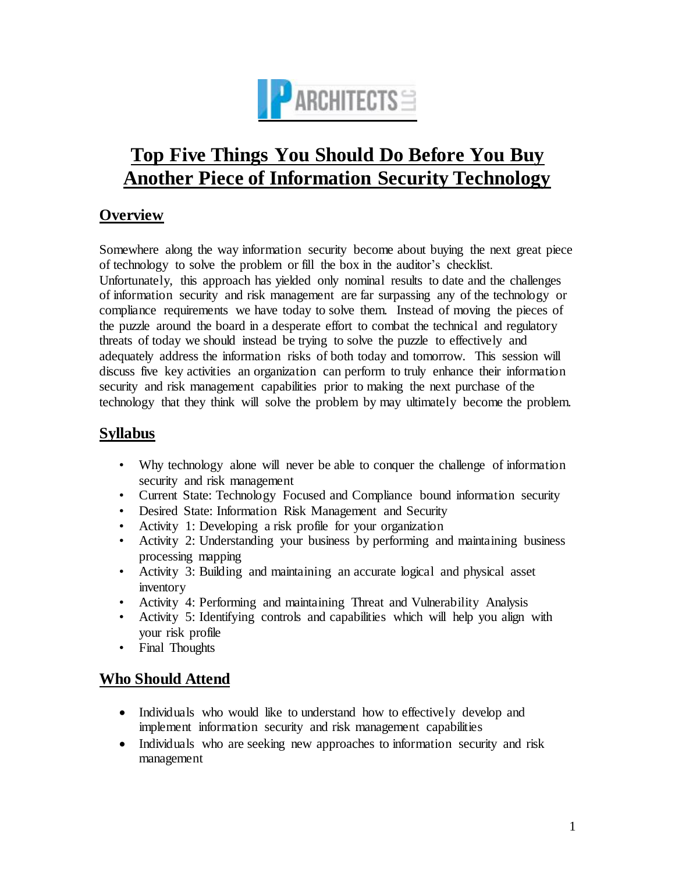

# **Top Five Things You Should Do Before You Buy Another Piece of Information Security Technology**

# **Overview**

Somewhere along the way information security become about buying the next great piece of technology to solve the problem or fill the box in the auditor's checklist.

Unfortunately, this approach has yielded only nominal results to date and the challenges of information security and risk management are far surpassing any of the technology or compliance requirements we have today to solve them. Instead of moving the pieces of the puzzle around the board in a desperate effort to combat the technical and regulatory threats of today we should instead be trying to solve the puzzle to effectively and adequately address the information risks of both today and tomorrow. This session will discuss five key activities an organization can perform to truly enhance their information security and risk management capabilities prior to making the next purchase of the technology that they think will solve the problem by may ultimately become the problem.

# **Syllabus**

- Why technology alone will never be able to conquer the challenge of information security and risk management
- Current State: Technology Focused and Compliance bound information security
- Desired State: Information Risk Management and Security
- Activity 1: Developing a risk profile for your organization
- Activity 2: Understanding your business by performing and maintaining business processing mapping
- Activity 3: Building and maintaining an accurate logical and physical asset inventory
- Activity 4: Performing and maintaining Threat and Vulnerability Analysis
- Activity 5: Identifying controls and capabilities which will help you align with your risk profile
- Final Thoughts

## **Who Should Attend**

- Individuals who would like to understand how to effectively develop and implement information security and risk management capabilities
- Individuals who are seeking new approaches to information security and risk management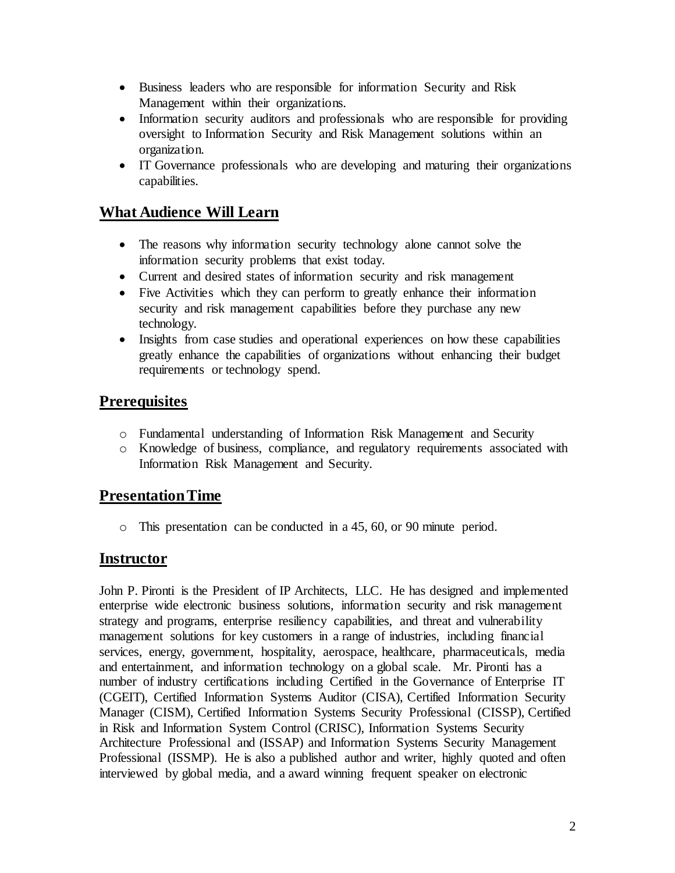- Business leaders who are responsible for information Security and Risk Management within their organizations.
- Information security auditors and professionals who are responsible for providing oversight to Information Security and Risk Management solutions within an organization.
- IT Governance professionals who are developing and maturing their organizations capabilities.

#### **What Audience Will Learn**

- The reasons why information security technology alone cannot solve the information security problems that exist today.
- Current and desired states of information security and risk management
- Five Activities which they can perform to greatly enhance their information security and risk management capabilities before they purchase any new technology.
- Insights from case studies and operational experiences on how these capabilities greatly enhance the capabilities of organizations without enhancing their budget requirements or technology spend.

#### **Prerequisites**

- o Fundamental understanding of Information Risk Management and Security
- o Knowledge of business, compliance, and regulatory requirements associated with Information Risk Management and Security.

## **Presentation Time**

o This presentation can be conducted in a 45, 60, or 90 minute period.

#### **Instructor**

John P. Pironti is the President of IP Architects, LLC. He has designed and implemented enterprise wide electronic business solutions, information security and risk management strategy and programs, enterprise resiliency capabilities, and threat and vulnerability management solutions for key customers in a range of industries, including financial services, energy, government, hospitality, aerospace, healthcare, pharmaceuticals, media and entertainment, and information technology on a global scale. Mr. Pironti has a number of industry certifications including Certified in the Governance of Enterprise IT (CGEIT), Certified Information Systems Auditor (CISA), Certified Information Security Manager (CISM), Certified Information Systems Security Professional (CISSP), Certified in Risk and Information System Control (CRISC), Information Systems Security Architecture Professional and (ISSAP) and Information Systems Security Management Professional (ISSMP). He is also a published author and writer, highly quoted and often interviewed by global media, and a award winning frequent speaker on electronic